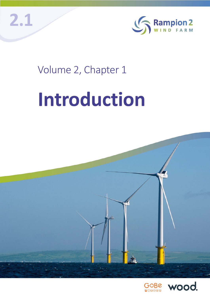



## Volume 2, Chapter 1

# **Introduction**



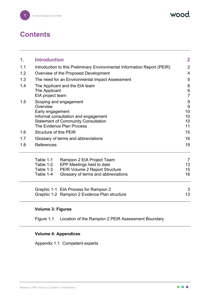wood.

#### **Contents**

| 1.  | <b>Introduction</b>                                                                                                                                                                                                                                                                                                                    |                                                                                                                                  | $\mathbf 2$                                                                  |  |
|-----|----------------------------------------------------------------------------------------------------------------------------------------------------------------------------------------------------------------------------------------------------------------------------------------------------------------------------------------|----------------------------------------------------------------------------------------------------------------------------------|------------------------------------------------------------------------------|--|
| 1.1 | Introduction to this Preliminary Environmental Information Report (PEIR)                                                                                                                                                                                                                                                               |                                                                                                                                  | $\overline{2}$                                                               |  |
| 1.2 |                                                                                                                                                                                                                                                                                                                                        | Overview of the Proposed Development                                                                                             |                                                                              |  |
| 1.3 |                                                                                                                                                                                                                                                                                                                                        | The need for an Environmental Impact Assessment                                                                                  | 5                                                                            |  |
| 1.4 | The Applicant and the EIA team<br>The Applicant<br>EIA project team<br>Scoping and engagement<br>Overview<br>Early engagement<br>Informal consultation and engagement<br><b>Statement of Community Consultation</b><br>The Evidence Plan Process<br><b>Structure of this PEIR</b><br>Glossary of terms and abbreviations<br>References |                                                                                                                                  | $6\phantom{1}6$<br>$\,6$<br>$\overline{7}$<br>9<br>9<br>10<br>10<br>10<br>11 |  |
| 1.5 |                                                                                                                                                                                                                                                                                                                                        |                                                                                                                                  |                                                                              |  |
| 1.6 |                                                                                                                                                                                                                                                                                                                                        |                                                                                                                                  | 15                                                                           |  |
| 1.7 |                                                                                                                                                                                                                                                                                                                                        |                                                                                                                                  | 16                                                                           |  |
| 1.8 |                                                                                                                                                                                                                                                                                                                                        |                                                                                                                                  | 19                                                                           |  |
|     | Table 1-1<br>Table 1-2<br>Table 1-3<br>Table 1-4                                                                                                                                                                                                                                                                                       | Rampion 2 EIA Project Team<br>EPP Meetings held to date<br>PEIR Volume 2 Report Structure<br>Glossary of terms and abbreviations | 7<br>13<br>15<br>16                                                          |  |
|     |                                                                                                                                                                                                                                                                                                                                        | Graphic 1-1 EIA Process for Rampion 2<br>Graphic 1-2 Rampion 2 Evidence Plan structure                                           | 3<br>13                                                                      |  |

#### **Volume 3: Figures**

Figure 1.1 Location of the Rampion 2 PEIR Assessment Boundary

#### **Volume 4: Appendices**

Appendix 1.1 Competent experts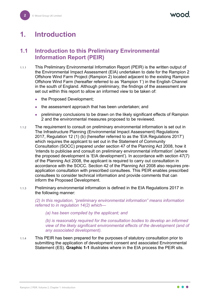### <span id="page-2-0"></span>**1. Introduction**

#### <span id="page-2-1"></span>**1.1 Introduction to this Preliminary Environmental Information Report (PEIR)**

- 1.1.1 This Preliminary Environmental Information Report (PEIR) is the written output of the Environmental Impact Assessment (EIA) undertaken to date for the Rampion 2 Offshore Wind Farm Project (Rampion 2) located adjacent to the existing Rampion Offshore Wind Farm (hereafter referred to as 'Rampion 1') in the English Channel in the south of England. Although preliminary, the findings of the assessment are set out within this report to allow an informed view to be taken of:
	- the Proposed Development:
	- the assessment approach that has been undertaken; and
	- preliminary conclusions to be drawn on the likely significant effects of Rampion 2 and the environmental measures proposed to be reviewed.
- 1.1.2 The requirement to consult on preliminary environmental information is set out in The Infrastructure Planning (Environmental Impact Assessment) Regulations 2017, Regulation 12 (1) (b) (hereafter referred to as the 'EIA Regulations 2017') which requires the applicant to set out in the Statement of Community Consultation (SOCC) prepared under section 47 of the Planning Act 2008, how it 'intends to publicise and consult on preliminary environmental information' (where the proposed development is 'EIA development'). In accordance with section 47(7) of the Planning Act 2008, the applicant is required to carry out consultation in accordance with the SOCC. Section 42 of the Planning Act 2008 also requires preapplication consultation with prescribed consultees. This PEIR enables prescribed consultees to consider technical information and provide comments that can inform the Proposed Development.
- 1.1.3 Preliminary environmental information is defined in the EIA Regulations 2017 in the following manner:

*(2) In this regulation, "preliminary environmental information" means information referred to in regulation 14(2) which—* 

*(a) has been compiled by the applicant; and* 

*(b) is reasonably required for the consultation bodies to develop an informed view of the likely significant environmental effects of the development (and of any associated development).* 

1.1.4 This PEIR has been prepared for the purposes of statutory consultation prior to submitting the application of development consent and associated Environmental Statement (ES). **[Graphic 1-1](#page-3-0)** illustrates where in the EIA process the PEIR sits.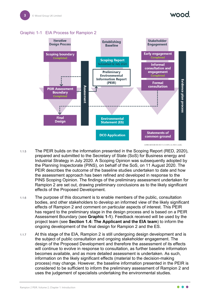#### <span id="page-3-0"></span>Graphic 1-1 EIA Process for Rampion 2



42885-WOOD-XX-XX-FG-O-0015\_S2\_P02.2\_indd\_

- 1.1.5 The PEIR builds on the information presented in the Scoping Report (RED, 2020), prepared and submitted to the Secretary of State (SoS) for Business energy and Industrial Strategy in July 2020. A Scoping Opinion was subsequently adopted by the Planning Inspectorate (PINS), on behalf of the SoS, on 11 August 2020. The PEIR describes the outcome of the baseline studies undertaken to date and how the assessment approach has been refined and developed in response to the PINS Scoping Opinion. The findings of the preliminary assessment undertaken for Rampion 2 are set out, drawing preliminary conclusions as to the likely significant effects of the Proposed Development.
- 1.1.6 The purpose of this document is to enable members of the public, consultation bodies, and other stakeholders to develop an informed view of the likely significant effects of Rampion 2 and comment on particular aspects of interest. This PEIR has regard to the preliminary stage in the design process and is based on a PEIR Assessment Boundary (see **[Graphic 1-1](#page-3-0)**). Feedback received will be used by the project team (see **Section [1.4:](#page-6-0) The Applicant and the EIA team**) to inform the ongoing development of the final design for Rampion 2 and the ES.
- 1.1.7 At this stage of the EIA, Rampion 2 is still undergoing design development and is the subject of public consultation and ongoing stakeholder engagement. The design of the Proposed Development and therefore the assessment of its effects will continue to evolve in response to consultation, as further baseline information becomes available, and as more detailed assessment is undertaken. As such, information on the likely significant effects (material to the decision-making process) may change. However, the baseline information presented in the PEIR is considered to be sufficient to inform the preliminary assessment of Rampion 2 and uses the judgement of specialists undertaking the environmental studies.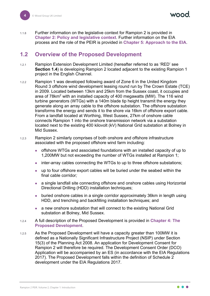1.1.8 Further information on the legislative context for Rampion 2 is provided in **Chapter 2: Policy and legislative context**. Further information on the EIA process and the role of the PEIR is provided in **Chapter 5: Approach to the EIA**.

#### <span id="page-4-0"></span>**1.2 Overview of the Proposed Development**

- 1.2.1 Rampion Extension Development Limited (hereafter referred to as 'RED' see **Section [1.4](#page-6-0)**) is developing Rampion 2 located adjacent to the existing Rampion 1 project in the English Channel.
- 1.2.2 Rampion 1 was developed following award of Zone 6 in the United Kingdom Round 3 offshore wind development leasing round run by The Crown Estate (TCE) in 2009. Located between 13km and 25km from the Sussex coast, it occupies and area of 78km<sup>2</sup> with an installed capacity of 400 megawatts (MW). The 116 wind turbine generators (WTGs) with a 140m blade tip height transmit the energy they generate along an array cable to the offshore substation. The offshore substation transforms the energy and sends it to the shore via 16km of offshore export cable. From a landfall located at Worthing, West Sussex, 27km of onshore cable connects Rampion 1 into the onshore transmission network via a substation located next to the existing 400 kilovolt (kV) National Grid substation at Bolney in Mid Sussex.
- 1.2.3 Rampion 2 similarly comprises of both onshore and offshore infrastructure associated with the proposed offshore wind farm including:
	- offshore WTGs and associated foundations with an installed capacity of up to 1,200MW but not exceeding the number of WTGs installed at Rampion 1;
	- inter-array cables connecting the WTGs to up to three offshore substations;
	- up to four offshore export cables will be buried under the seabed within the final cable corridor*;*
	- a single landfall site connecting offshore and onshore cables using Horizontal Directional Drilling (HDD) installation techniques;
	- buried onshore cables in a single corridor approximately 36km in length using HDD, and trenching and backfilling installation techniques; and
	- a new onshore substation that will connect to the existing National Grid substation at Bolney, Mid Sussex.
- 1.2.4 A full description of the Proposed Development is provided in **Chapter 4: The Proposed Development**.
- 1.2.5 As the Proposed Development will have a capacity greater than 100MW it is defined as a Nationally Significant Infrastructure Project (NSIP) under Section 15(3) of the Planning Act 2008. An application for Development Consent for Rampion 2 will therefore be required. The Development Consent Order (DCO) Application will be accompanied by an ES (in accordance with the EIA Regulations 2017). The Proposed Development falls within the definition of Schedule 2 development under the EIA Regulations 2017.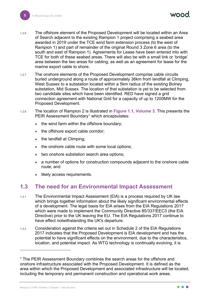- 1.2.6 The offshore element of the Proposed Development will be located within an Area of Search adjacent to the existing Rampion 1 project comprising a seabed area awarded in 2019 under the TCE wind farm extension process (to the west of Rampion 1) and part of remainder of the original Round 3 Zone 6 area (to the south and east of Rampion 1). Agreements for Lease have been entered into with TCE for both of these seabed areas. There will also be with a small link or 'bridge' area between the two areas for cabling, as well as an agreement for lease for the marine export cable to shore.
- 1.2.7 The onshore elements of the Proposed Development comprise cable circuits buried underground along a route of approximately 36km from landfall at Climping, West Sussex to a substation located within a 5km radius of the existing Bolney substation, Mid Sussex. The location of that substation is yet to be selected from two candidate sites which have been identified. RED have signed a grid connection agreement with National Grid for a capacity of up to 1200MW for the Proposed Development.
- 1.2.8 The location of Rampion 2 is illustrated in **Figure 1.1, Volume 3**. This presents the PEIR Assessment Boundary<sup>[1](#page-5-1)</sup> which encapsulates:
	- the wind farm within the offshore boundary;
	- the offshore export cable corridor;
	- the landfall at Climping;
	- the onshore cable route with some local options;
	- two onshore substation search area options;
	- a number of options for construction compounds adjacent to the onshore cable route; and
	- likely access requirements.

#### <span id="page-5-0"></span>**1.3 The need for an Environmental Impact Assessment**

- 1.3.1 The Environmental Impact Assessment (EIA) is a process required by UK law which brings together information about the likely significant environmental effects of a development. The legal basis for EIA arises from the EIA Regulations 2017 which were made to implement the Community Directive 85/337/EEC3 (the EIA Directive) prior to the UK leaving the EU. The EIA Regulations 2017 continue to have effect notwithstanding the UK's departure.
- 1.3.2 Consideration against the criteria set out in Schedule 2 of the EIA Regulations 2017 indicates that the Proposed Development is EIA development and has the potential to have significant effects on the environment, due to the characteristics, location, and potential impact. As WTG technology is continually evolving, it is

<span id="page-5-1"></span><sup>&</sup>lt;sup>1</sup> The PEIR Assessment Boundary combines the search areas for the offshore and onshore infrastructure associated with the Proposed Development. It is defined as the area within which the Proposed Development and associated infrastructure will be located, including the temporary and permanent construction and operational work areas.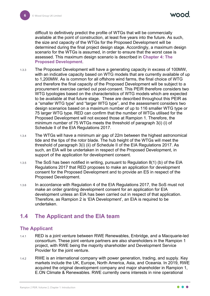difficult to definitively predict the profile of WTGs that will be commercially available at the point of construction, at least five years into the future. As such, the size and capacity of the WTGs for the Proposed Development will be determined during the final project design stage. Accordingly, a maximum design scenario for the WTGs is assumed, in order to ensure that the worst case is assessed. This maximum design scenario is described in **Chapter 4: The Proposed Development**.

- 1.3.3 The Proposed Development will have a generating capacity in excess of 100MW, with an indicative capacity based on WTG models that are currently available of up to 1,200MW. As is common for all offshore wind farms, the final choice of WTG and therefore the final capacity of the Proposed Development will be subject to a procurement exercise carried out post-consent. This PEIR therefore considers two WTG typologies based on the characteristics of WTG models which are expected to be available at that future stage. These are described throughout this PEIR as a "smaller WTG type" and "larger WTG type", and the assessment considers two design scenarios based on a maximum number of up to 116 smaller WTG type or 75 larger WTG type. RED can confirm that the number of WTGs utilised for the Proposed Development will not exceed those at Rampion 1. Therefore, the minimum number of 75 WTGs meets the threshold of paragraph 3(i) (i) of Schedule II of the EIA Regulations 2017.
- 1.3.4 The WTGs will have a minimum air gap of 22m between the highest astronomical tide and the tips of the rotor blade. The hub height of the WTGs will meet the threshold of paragraph 3(i) (ii) of Schedule II of the EIA Regulations 2017. As such, an EIA will be undertaken in respect of the Proposed Development, in support of the application for development consent.
- 1.3.5 The SoS has been notified in writing, pursuant to Regulation 8(1) (b) of the EIA Regulations 2017 that RED proposes to make an application for development consent for the Proposed Development and to provide an ES in respect of the Proposed Development.
- 1.3.6 In accordance with Regulation 4 of the EIA Regulations 2017, the SoS must not make an order granting development consent for an application for EIA development unless an EIA has been carried out in respect of that application. Therefore, as Rampion 2 is 'EIA Development', an EIA is required to be undertaken.

#### <span id="page-6-0"></span>**1.4 The Applicant and the EIA team**

#### <span id="page-6-1"></span>**The Applicant**

- 1.4.1 RED is a joint venture between RWE Renewables, Enbridge, and a Macquarie-led consortium. These joint venture partners are also shareholders in the Rampion 1 project, with RWE being the majority shareholder and Development Service Provider for the joint venture.
- 1.4.2 RWE is an international company with power generation, trading, and supply. Key markets include the UK, Europe, North America, Asia, and Oceania. In 2019, RWE acquired the original development company and major shareholder in Rampion 1, E.ON Climate & Renewables. RWE currently owns interests in nine operational

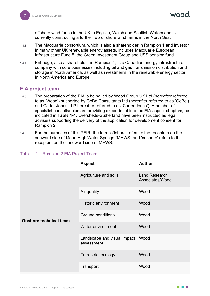offshore wind farms in the UK in English, Welsh and Scottish Waters and is currently constructing a further two offshore wind farms in the North Sea.

- 1.4.3 The Macquarie consortium, which is also a shareholder in Rampion 1 and investor in many other UK renewable energy assets, includes Macquarie European Infrastructure Fund 5, the Green Investment Group and USS pension fund.
- 1.4.4 Enbridge, also a shareholder in Rampion 1, is a Canadian energy infrastructure company with core businesses including oil and gas transmission distribution and storage in North America, as well as investments in the renewable energy sector in North America and Europe.

#### <span id="page-7-0"></span>**EIA project team**

- 1.4.5 The preparation of the EIA is being led by Wood Group UK Ltd (hereafter referred to as 'Wood') supported by GoBe Consultants Ltd (hereafter referred to as 'GoBe') and Carter Jonas LLP hereafter referred to as 'Carter Jonas'). A number of specialist consultancies are providing expert input into the EIA aspect chapters, as indicated in **[Table 1-1](#page-7-1)**. Eversheds-Sutherland have been instructed as legal advisers supporting the delivery of the application for development consent for Rampion 2.
- 1.4.6 For the purposes of this PEIR, the term 'offshore' refers to the receptors on the seaward side of Mean High Water Springs (MHWS) and 'onshore' refers to the receptors on the landward side of MHWS.

|                               | <b>Aspect</b>                             | <b>Author</b>                           |
|-------------------------------|-------------------------------------------|-----------------------------------------|
|                               | Agriculture and soils                     | <b>Land Research</b><br>Associates/Wood |
|                               | Air quality                               | Wood                                    |
|                               | <b>Historic environment</b>               | Wood                                    |
| <b>Onshore technical team</b> | <b>Ground conditions</b>                  | Wood                                    |
|                               | Water environment                         | Wood                                    |
|                               | Landscape and visual impact<br>assessment | Wood                                    |
|                               | <b>Terrestrial ecology</b>                | Wood                                    |
|                               | Transport                                 | Wood                                    |

#### <span id="page-7-1"></span>Table 1-1 Rampion 2 EIA Project Team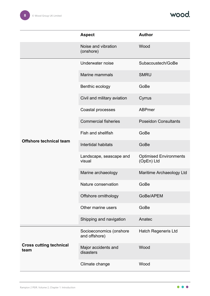wood.

|                                        | <b>Aspect</b>                            | <b>Author</b>                               |
|----------------------------------------|------------------------------------------|---------------------------------------------|
|                                        | Noise and vibration<br>(onshore)         | Wood                                        |
|                                        | Underwater noise                         | Subacoustech/GoBe                           |
|                                        | Marine mammals                           | <b>SMRU</b>                                 |
|                                        | Benthic ecology                          | GoBe                                        |
|                                        | Civil and military aviation              | Cyrrus                                      |
|                                        | Coastal processes                        | <b>ABPmer</b>                               |
|                                        | <b>Commercial fisheries</b>              | <b>Poseidon Consultants</b>                 |
|                                        | Fish and shellfish                       | GoBe                                        |
| <b>Offshore technical team</b>         | Intertidal habitats                      | GoBe                                        |
|                                        | Landscape, seascape and<br>visual        | <b>Optimised Environments</b><br>(OpEn) Ltd |
|                                        | Marine archaeology                       | Maritime Archaeology Ltd                    |
|                                        | Nature conservation                      | GoBe                                        |
|                                        | Offshore ornithology                     | GoBe/APEM                                   |
|                                        | Other marine users                       | GoBe                                        |
|                                        | Shipping and navigation                  | Anatec                                      |
|                                        | Socioeconomics (onshore<br>and offshore) | <b>Hatch Regeneris Ltd</b>                  |
| <b>Cross cutting technical</b><br>team | Major accidents and<br>disasters         | Wood                                        |
|                                        | Climate change                           | Wood                                        |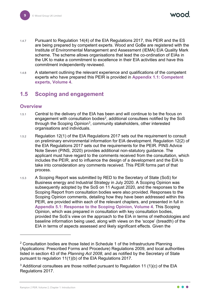- 1.4.7 Pursuant to Regulation 14(4) of the EIA Regulations 2017, this PEIR and the ES are being prepared by competent experts. Wood and GoBe are registered with the Institute of Environmental Management and Assessment (IEMA) EIA Quality Mark scheme. The scheme allows organisations that lead the co-ordination of EIAs in the UK to make a commitment to excellence in their EIA activities and have this commitment independently reviewed.
- 1.4.8 A statement outlining the relevant experience and qualifications of the competent experts who have prepared this PEIR is provided in **Appendix 1.1: Competent experts, Volume 4**.

#### <span id="page-9-0"></span>**1.5 Scoping and engagement**

#### <span id="page-9-1"></span>**Overview**

- 1.5.1 Central to the delivery of the EIA has been and will continue to be the focus on engagement with consultation bodies<sup>[2](#page-9-2)</sup>, additional consultees notified by the SoS through the Scoping Opinion<sup>[3](#page-9-3)</sup>, community stakeholders, other interested organisations and individuals.
- 1.5.2 Regulation 12(1) of the EIA Regulations 2017 sets out the requirement to consult on preliminary environmental information for EIA development. Regulation 12(2) of the EIA Regulations 2017 sets out the requirements for the PEIR. PINS Advice Note Seven (PINS, 2020) provides additional non-statutory guidance. The applicant must have regard to the comments received from the consultation, which includes the PEIR, and to influence the design of a development and the EIA to take into consideration any comments received. This PEIR forms part of that process.
- 1.5.3 A Scoping Report was submitted by RED to the Secretary of State (SoS) for Business energy and Industrial Strategy in July 2020. A Scoping Opinion was subsequently adopted by the SoS on 11 August 2020, and the responses to the Scoping Report from consultation bodies were also provided. Responses to the Scoping Opinion comments, detailing how they have been addressed within this PEIR, are provided within each of the relevant chapters, and presented in full in **Appendix 5.1: Response to the Scoping Opinion, Volume 4**. This Scoping Opinion, which was prepared in consultation with key consultation bodies, provided the SoS's view on the approach to the EIA in terms of methodologies and baseline information being used, along with views on the 'scope' (breadth) of the EIA in terms of aspects assessed and likely significant effects. Given the

<span id="page-9-2"></span> $2$  Consultation bodies are those listed in Schedule 1 of the Infrastructure Planning (Applications: Prescribed Forms and Procedure) Regulations 2009, and local authorities listed in section 43 of the *Planning Act 2008*, and as notified by the Secretary of State pursuant to regulation 11(1)(b) of the EIA Regulations 2017.

<span id="page-9-3"></span> $3$  Additional consultees are those notified pursuant to Regulation 11 (1)(c) of the EIA Regulations 2017.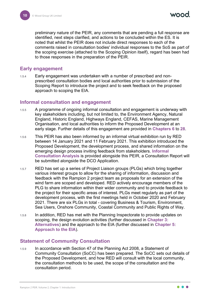preliminary nature of the PEIR, any comments that are pending a full response are identified, next steps clarified, and actions to be concluded within the ES. It is noted that whilst the PEIR does not include direct responses to each of the comments raised in consultation bodies' individual responses to the SoS as part of the scoping exercise (attached to the Scoping Opinion itself), regard has been had to those responses in the preparation of the PEIR.

#### <span id="page-10-0"></span>**Early engagement**

1.5.4 Early engagement was undertaken with a number of prescribed and nonprescribed consultation bodies and local authorities prior to submission of the Scoping Report to introduce the project and to seek feedback on the proposed approach to scoping the EIA.

#### <span id="page-10-1"></span>**Informal consultation and engagement**

- 1.5.5 A programme of ongoing informal consultation and engagement is underway with key stakeholders including, but not limited to, the Environment Agency, Natural England, Historic England, Highways England, CEFAS, Marine Management Organisation, and local authorities to inform the Proposed Development at an early stage. Further details of this engagement are provided in **Chapters 6** to **28**.
- 1.5.6 This PEIR has also been informed by an informal virtual exhibition run by RED between 14 January 2021 and 11 February 2021. This exhibition introduced the Proposed Development, the development process, and shared information on the emerging design process inviting feedback from stakeholders. **Informal Consultation Analysis** is provided alongside this PEIR, a Consultation Report will be submitted alongside the DCO Application.
- 1.5.7 RED has set up a series of Project Liaison groups (PLGs) which bring together various interest groups to allow for the sharing of information, discussion and feedback with the Rampion 2 project team as proposals for an extension of the wind farm are scoped and developed. RED actively encourage members of the PLG to share information within their wider community and to provide feedback to the project for their specific areas of interest. PLGs meet regularly as part of the development process, with the first meetings held in October 2020 and February 2021. There are six PLGs in total - covering Business & Tourism, Environment, Sea Users, Onshore Community, Coastal Community and Public Rights of Way.
- 1.5.8 In addition, RED has met with the Planning Inspectorate to provide updates on scoping, the design evolution activities (further discussed in **Chapter 3: Alternatives**) and the approach to the EIA (further discussed in **Chapter 5: Approach to the EIA**).

#### <span id="page-10-2"></span>**Statement of Community Consultation**

1.5.9 In accordance with Section 47 of the Planning Act 2008, a Statement of Community Consultation (SoCC) has been prepared. The SoCC sets out details of the Proposed Development, and how RED will consult with the local community, the consultation methods to be used, the scope of the consultation and the consultation period.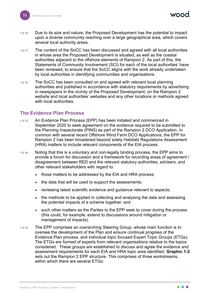- 1.5.10 Due to its size and nature, the Proposed Development has the potential to impact upon a diverse community reaching over a large geographical area, which covers several local authority areas.
- 1.5.11 The content of the SoCC has been discussed and agreed with all local authorities in whose area the Proposed Development is situated, as well as the coastal authorities adjacent to the offshore elements of Rampion 2. As part of this, the Statements of Community Involvement (SCI) for each of the local authorities' have been reviewed, to ensure that the SoCC aligns with the work already undertaken by local authorities in identifying communities and organisations.
- 1.5.12 The SoCC has been consulted on and agreed with relevant local planning authorities and published in accordance with statutory requirements by advertising in newspapers in the vicinity of the Proposed Development, on the Rampion 2 website and local authorities' websites and any other locations or methods agreed with local authorities.

#### <span id="page-11-0"></span>**The Evidence Plan Process**

- 1.5.13 An Evidence Plan Process (EPP) has been initiated and commenced in September 2020 to seek agreement on the evidence required to be submitted to the Planning Inspectorate (PINS) as part of the Rampion 2 DCO Application. In common with several recent Offshore Wind Farm DCO Applications, the EPP for Rampion 2 has been broadened beyond solely Habitats Regulations Assessment (HRA) matters to include relevant components of the EIA process.
- 1.5.14 Noting that this is a voluntary and non-legally binding process, the EPP aims to provide a forum for discussion and a framework for recording areas of agreement / disagreement between RED and the relevant statutory authorities, advisers, and other relevant stakeholders with regard to:
	- those matters to be addressed by the EIA and HRA process;
	- the data that will be used to support the assessments;
	- reviewing latest scientific evidence and guidance relevant to aspects;
	- the methods to be applied in collecting and analysing the data and assessing the potential impacts of a scheme together; and
	- such other matters as the Parties to the EPP seek to cover during the process (this could, for example, extend to discussions around mitigation or management of impacts).
- 1.5.15 The EPP comprises an overarching Steering Group, whose main function is to oversee the development of the Plan and ensure continual progress of the Evidence Plan process, and individual topic focused Expert Topic Groups (ETGs). The ETGs are formed of experts from relevant organisations relative to the topics considered. These groups are established to discuss and agree the evidence and assessment requirements for each EIA and HRA topic area identified. **[Graphic 1-2](#page-13-0)** sets out the Rampion 2 EPP structure. This comprises of three workstreams, within which there are several ETGs: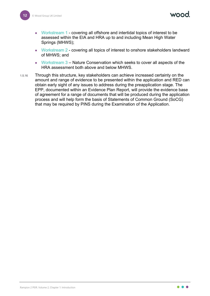MOOO

- Workstream 1 covering all offshore and intertidal topics of interest to be assessed within the EIA and HRA up to and including Mean High Water Springs (MHWS);
- Workstream 2 covering all topics of interest to onshore stakeholders landward of MHWS; and
- Workstream 3 Nature Conservation which seeks to cover all aspects of the HRA assessment both above and below MHWS.
- 1.5.16 Through this structure, key stakeholders can achieve increased certainty on the amount and range of evidence to be presented within the application and RED can obtain early sight of any issues to address during the preapplication stage. The EPP, documented within an Evidence Plan Report, will provide the evidence base of agreement for a range of documents that will be produced during the application process and will help form the basis of Statements of Common Ground (SoCG) that may be required by PINS during the Examination of the Application.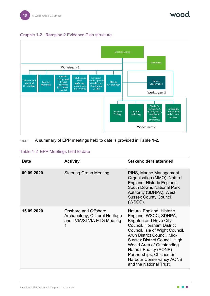

#### <span id="page-13-0"></span>Graphic 1-2 Rampion 2 Evidence Plan structure



#### 1.5.17 A summary of EPP meetings held to date is provided in **[Table 1-2](#page-13-1)**.

#### <span id="page-13-1"></span>Table 1-2 EPP Meetings held to date

| <b>Date</b> | <b>Activity</b>                                                                             | <b>Stakeholders attended</b>                                                                                                                                                                                                                                                                                                                                               |
|-------------|---------------------------------------------------------------------------------------------|----------------------------------------------------------------------------------------------------------------------------------------------------------------------------------------------------------------------------------------------------------------------------------------------------------------------------------------------------------------------------|
| 09.09.2020  | <b>Steering Group Meeting</b>                                                               | PINS, Marine Management<br>Organisation (MMO), Natural<br>England, Historic England,<br>South Downs National Park<br>Authority (SDNPA), West<br><b>Sussex County Council</b><br>(WSCC).                                                                                                                                                                                    |
| 15.09.2020  | <b>Onshore and Offshore</b><br>Archaeology, Cultural Heritage<br>and LVIA/SLVIA ETG Meeting | Natural England, Historic<br>England, WSCC, SDNPA,<br><b>Brighton and Hove City</b><br>Council, Horsham District<br>Council, Isle of Wight Council,<br>Arun District Council, Mid-<br><b>Sussex District Council, High</b><br>Weald Area of Outstanding<br>Natural Beauty (AONB)<br>Partnerships, Chichester<br><b>Harbour Conservancy AONB</b><br>and the National Trust. |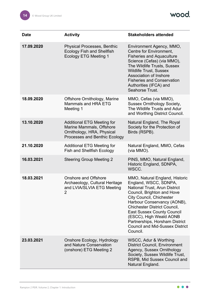wood.

| <b>Date</b> | <b>Activity</b>                                                                                                              | <b>Stakeholders attended</b>                                                                                                                                                                                                                                                                                                                                                            |
|-------------|------------------------------------------------------------------------------------------------------------------------------|-----------------------------------------------------------------------------------------------------------------------------------------------------------------------------------------------------------------------------------------------------------------------------------------------------------------------------------------------------------------------------------------|
| 17.09.2020  | <b>Physical Processes, Benthic</b><br><b>Ecology Fish and Shellfish</b><br><b>Ecology ETG Meeting 1</b>                      | Environment Agency, MMO,<br>Centre for Environment,<br><b>Fisheries and Aquaculture</b><br>Science (Cefas) (via MMO),<br>The Wildlife Trusts, Sussex<br><b>Wildlife Trust, Sussex</b><br>Association of Inshore<br><b>Fisheries and Conservation</b><br>Authorities (IFCA) and<br>Seahorse Trust.                                                                                       |
| 18.09.2020  | Offshore Ornithology, Marine<br>Mammals and HRA ETG<br>Meeting 1                                                             | MMO, Cefas (via MMO),<br><b>Sussex Ornithology Society,</b><br>The Wildlife Trusts and Adur<br>and Worthing District Council.                                                                                                                                                                                                                                                           |
| 13.10.2020  | <b>Additional ETG Meeting for</b><br>Marine Mammals, Offshore<br>Ornithology, HRA, Physical<br>Processes and Benthic Ecology | Natural England, The Royal<br>Society for the Protection of<br>Birds (RSPB).                                                                                                                                                                                                                                                                                                            |
| 21.10.2020  | <b>Additional ETG Meeting for</b><br><b>Fish and Shellfish Ecology</b>                                                       | Natural England, MMO, Cefas<br>(via MMO).                                                                                                                                                                                                                                                                                                                                               |
| 16.03.2021  | <b>Steering Group Meeting 2</b>                                                                                              | PINS, MMO, Natural England,<br>Historic England, SDNPA,<br>WSCC.                                                                                                                                                                                                                                                                                                                        |
| 18.03.2021  | <b>Onshore and Offshore</b><br>Archaeology, Cultural Heritage<br>and LVIA/SLVIA ETG Meeting<br>$\overline{2}$                | MMO, Natural England, Historic<br>England, WSCC, SDNPA,<br>National Trust, Arun District<br>Council, Brighton and Hove<br><b>City Council, Chichester</b><br>Harbour Conservancy (AONB),<br><b>Chichester District Council,</b><br><b>East Sussex County Council</b><br>(ESCC), High Weald AONB<br>Partnerships, Horsham District<br><b>Council and Mid-Sussex District</b><br>Council. |
| 23.03.2021  | Onshore Ecology, Hydrology<br>and Nature Conservation<br>(onshore) ETG Meeting 2                                             | WSCC, Adur & Worthing<br><b>District Council, Environment</b><br>Agency, Sussex Ornithology<br>Society, Sussex Wildlife Trust,<br>RSPB, Mid Sussex Council and<br>Natural England.                                                                                                                                                                                                      |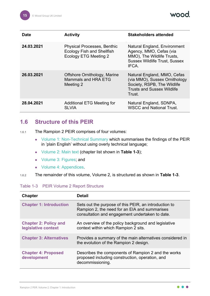**vood** 

| <b>Date</b> | <b>Activity</b>                                                                                         | <b>Stakeholders attended</b>                                                                                                               |
|-------------|---------------------------------------------------------------------------------------------------------|--------------------------------------------------------------------------------------------------------------------------------------------|
| 24.03.2021  | <b>Physical Processes, Benthic</b><br><b>Ecology Fish and Shellfish</b><br><b>Ecology ETG Meeting 2</b> | Natural England, Environment<br>Agency, MMO, Cefas (via<br>MMO), The Wildlife Trusts,<br><b>Sussex Wildlife Trust, Sussex</b><br>IFCA.     |
| 26.03.2021  | Offshore Ornithology, Marine<br>Mammals and HRA ETG<br>Meeting 2                                        | Natural England, MMO, Cefas<br>(via MMO), Sussex Ornithology<br>Society, RSPB, The Wildlife<br><b>Trusts and Sussex Wildlife</b><br>Trust. |
| 28.04.2021  | <b>Additional ETG Meeting for</b><br><b>SLVIA</b>                                                       | Natural England, SDNPA,<br><b>WSCC and National Trust.</b>                                                                                 |

#### <span id="page-15-0"></span>**1.6 Structure of this PEIR**

- 1.6.1 The Rampion 2 PEIR comprises of four volumes:
	- Volume 1: Non-Technical Summary which summarises the findings of the PEIR in 'plain English' without using overly technical language;
	- Volume 2: Main text (chapter list shown in **[Table 1-3](#page-15-1)**);
	- Volume 3: Figures; and
	- Volume 4: Appendices.
- 1.6.2 The remainder of this volume, Volume 2, is structured as shown in **[Table 1-3](#page-15-1)**.

#### <span id="page-15-1"></span>Table 1-3 PEIR Volume 2 Report Structure

| <b>Chapter</b>                                      | Detail                                                                                                                                                    |
|-----------------------------------------------------|-----------------------------------------------------------------------------------------------------------------------------------------------------------|
| <b>Chapter 1: Introduction</b>                      | Sets out the purpose of this PEIR, an introduction to<br>Rampion 2, the need for an EIA and summarises<br>consultation and engagement undertaken to date. |
| <b>Chapter 2: Policy and</b><br>legislative context | An overview of the policy background and legislative<br>context within which Rampion 2 sits.                                                              |
| <b>Chapter 3: Alternatives</b>                      | Provides a summary of the main alternatives considered in<br>the evolution of the Rampion 2 design.                                                       |
| <b>Chapter 4: Proposed</b><br>development           | Describes the components of Rampion 2 and the works<br>proposed including construction, operation, and<br>decommissioning.                                |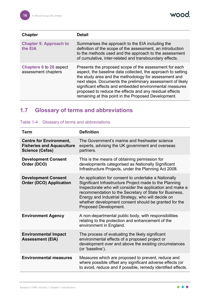wood.

| <b>Chapter</b>                                        | <b>Detail</b>                                                                                                                                                                                                                                                                                                                                                                                                               |
|-------------------------------------------------------|-----------------------------------------------------------------------------------------------------------------------------------------------------------------------------------------------------------------------------------------------------------------------------------------------------------------------------------------------------------------------------------------------------------------------------|
| <b>Chapter 5: Approach to</b><br>the EIA              | Summarises the approach to the EIA including the<br>definition of the scope of the assessment, an introduction<br>to the methods used and the approach to the assessment<br>of cumulative, inter-related and transboundary effects.                                                                                                                                                                                         |
| <b>Chapters 6 to 28 aspect</b><br>assessment chapters | Presents the proposed scope of the assessment for each<br>aspect, the baseline data collected, the approach to setting<br>the study area and the methodology for assessment and<br>next steps. Documents the preliminary assessment of likely<br>significant effects and embedded environmental measures<br>proposed to reduce the effects and any residual effects<br>remaining at this point in the Proposed Development. |

#### <span id="page-16-0"></span>**1.7 Glossary of terms and abbreviations**

| Term                                                                                         | <b>Definition</b>                                                                                                                                                                                                                                                                                                                                                                     |
|----------------------------------------------------------------------------------------------|---------------------------------------------------------------------------------------------------------------------------------------------------------------------------------------------------------------------------------------------------------------------------------------------------------------------------------------------------------------------------------------|
| <b>Centre for Environment,</b><br><b>Fisheries and Aquaculture</b><br><b>Science (Cefas)</b> | The Government's marine and freshwater science<br>experts, advising the UK government and overseas<br>partners.                                                                                                                                                                                                                                                                       |
| <b>Development Consent</b><br>Order (DCO)                                                    | This is the means of obtaining permission for<br>developments categorised as Nationally Significant<br>Infrastructure Projects, under the Planning Act 2008.                                                                                                                                                                                                                          |
| <b>Development Consent</b><br><b>Order (DCO) Application</b>                                 | An application for consent to undertake a Nationally<br>Significant Infrastructure Project made to the Planning<br>Inspectorate who will consider the application and make a<br>recommendation to the Secretary of State for Business,<br>Energy and Industrial Strategy, who will decide on<br>whether development consent should be granted for the<br><b>Proposed Development.</b> |
| <b>Environment Agency</b>                                                                    | A non-departmental public body, with responsibilities<br>relating to the protection and enhancement of the<br>environment in England.                                                                                                                                                                                                                                                 |
| <b>Environmental Impact</b><br><b>Assessment (EIA)</b>                                       | The process of evaluating the likely significant<br>environmental effects of a proposed project or<br>development over and above the existing circumstances<br>(or 'baseline').                                                                                                                                                                                                       |
| <b>Environmental measures</b>                                                                | Measures which are proposed to prevent, reduce and<br>where possible offset any significant adverse effects (or<br>to avoid, reduce and if possible, remedy identified effects.                                                                                                                                                                                                       |

Table 1-4 Glossary of terms and abbreviations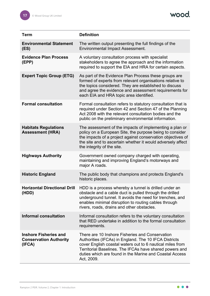wood.

| <b>Term</b>                                                             | <b>Definition</b>                                                                                                                                                                                                                                                                                                      |
|-------------------------------------------------------------------------|------------------------------------------------------------------------------------------------------------------------------------------------------------------------------------------------------------------------------------------------------------------------------------------------------------------------|
| <b>Environmental Statement</b><br>(ES)                                  | The written output presenting the full findings of the<br><b>Environmental Impact Assessment.</b>                                                                                                                                                                                                                      |
| <b>Evidence Plan Process</b><br>(EPP)                                   | A voluntary consultation process with specialist<br>stakeholders to agree the approach and the information<br>required to support the EIA and HRA for certain aspects.                                                                                                                                                 |
| <b>Expert Topic Group (ETG)</b>                                         | As part of the Evidence Plan Process these groups are<br>formed of experts from relevant organisations relative to<br>the topics considered. They are established to discuss<br>and agree the evidence and assessment requirements for<br>each EIA and HRA topic area identified.                                      |
| <b>Formal consultation</b>                                              | Formal consultation refers to statutory consultation that is<br>required under Section 42 and Section 47 of the Planning<br>Act 2008 with the relevant consultation bodies and the<br>public on the preliminary environmental information.                                                                             |
| <b>Habitats Regulations</b><br><b>Assessment (HRA)</b>                  | The assessment of the impacts of implementing a plan or<br>policy on a European Site, the purpose being to consider<br>the impacts of a project against conservation objectives of<br>the site and to ascertain whether it would adversely affect<br>the integrity of the site.                                        |
| <b>Highways Authority</b>                                               | Government owned company charged with operating,<br>maintaining and improving England's motorways and<br>major A roads.                                                                                                                                                                                                |
| <b>Historic England</b>                                                 | The public body that champions and protects England's<br>historic places.                                                                                                                                                                                                                                              |
| (HDD)                                                                   | <b>Horizontal Directional Drill</b> HDD is a process whereby a tunnel is drilled under an<br>obstacle and a cable duct is pulled through the drilled<br>underground tunnel. It avoids the need for trenches, and<br>enables minimal disruption to routing cables through<br>rivers, roads, drains and other obstacles. |
| <b>Informal consultation</b>                                            | Informal consultation refers to the voluntary consultation<br>that RED undertake in addition to the formal consultation<br>requirements.                                                                                                                                                                               |
| <b>Inshore Fisheries and</b><br><b>Conservation Authority</b><br>(IFCA) | There are 10 Inshore Fisheries and Conservation<br>Authorities (IFCAs) in England. The 10 IFCA Districts<br>cover English coastal waters out to 6 nautical miles from<br>Territorial Baselines. The IFCAs have shared powers and<br>duties which are found in the Marine and Coastal Access<br>Act, 2009.              |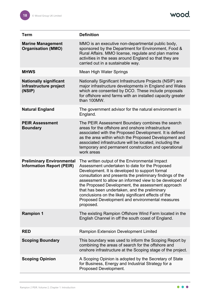| <b>Term</b>                                                          | <b>Definition</b>                                                                                                                                                                                                                                                                                                                                                                                                                                                                                        |  |
|----------------------------------------------------------------------|----------------------------------------------------------------------------------------------------------------------------------------------------------------------------------------------------------------------------------------------------------------------------------------------------------------------------------------------------------------------------------------------------------------------------------------------------------------------------------------------------------|--|
| <b>Marine Management</b><br><b>Organisation (MMO)</b>                | MMO is an executive non-departmental public body,<br>sponsored by the Department for Environment, Food &<br>Rural Affairs. MMO license, regulate and plan marine<br>activities in the seas around England so that they are<br>carried out in a sustainable way.                                                                                                                                                                                                                                          |  |
| <b>MHWS</b>                                                          | Mean High Water Springs                                                                                                                                                                                                                                                                                                                                                                                                                                                                                  |  |
| <b>Nationally significant</b><br>infrastructure project<br>(NSIP)    | Nationally Significant Infrastructure Projects (NSIP) are<br>major infrastructure developments in England and Wales<br>which are consented by DCO. These include proposals<br>for offshore wind farms with an installed capacity greater<br>than 100MW.                                                                                                                                                                                                                                                  |  |
| <b>Natural England</b>                                               | The government advisor for the natural environment in<br>England.                                                                                                                                                                                                                                                                                                                                                                                                                                        |  |
| <b>PEIR Assessment</b><br><b>Boundary</b>                            | The PEIR Assessment Boundary combines the search<br>areas for the offshore and onshore infrastructure<br>associated with the Proposed Development. It is defined<br>as the area within which the Proposed Development and<br>associated infrastructure will be located, including the<br>temporary and permanent construction and operational<br>work areas                                                                                                                                              |  |
| <b>Preliminary Environmental</b><br><b>Information Report (PEIR)</b> | The written output of the Environmental Impact<br>Assessment undertaken to date for the Proposed<br>Development. It is developed to support formal<br>consultation and presents the preliminary findings of the<br>assessment to allow an informed view to be developed of<br>the Proposed Development, the assessment approach<br>that has been undertaken, and the preliminary<br>conclusions on the likely significant effects of the<br>Proposed Development and environmental measures<br>proposed. |  |
| <b>Rampion 1</b>                                                     | The existing Rampion Offshore Wind Farm located in the<br>English Channel in off the south coast of England.                                                                                                                                                                                                                                                                                                                                                                                             |  |
| <b>RED</b>                                                           | <b>Rampion Extension Development Limited</b>                                                                                                                                                                                                                                                                                                                                                                                                                                                             |  |
| <b>Scoping Boundary</b>                                              | This boundary was used to inform the Scoping Report by<br>combining the areas of search for the offshore and<br>onshore infrastructure at the Scoping stage of the project.                                                                                                                                                                                                                                                                                                                              |  |
| <b>Scoping Opinion</b>                                               | A Scoping Opinion is adopted by the Secretary of State<br>for Business, Energy and Industrial Strategy for a<br>Proposed Development.                                                                                                                                                                                                                                                                                                                                                                    |  |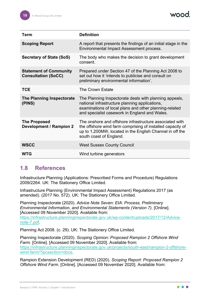

| Term                                                        | <b>Definition</b>                                                                                                                                                                                                   |
|-------------------------------------------------------------|---------------------------------------------------------------------------------------------------------------------------------------------------------------------------------------------------------------------|
| <b>Scoping Report</b>                                       | A report that presents the findings of an initial stage in the<br>Environmental Impact Assessment process.                                                                                                          |
| Secretary of State (SoS)                                    | The body who makes the decision to grant development<br>consent.                                                                                                                                                    |
| <b>Statement of Community</b><br><b>Consultation (SoCC)</b> | Prepared under Section 47 of the Planning Act 2008 to<br>set out how it 'intends to publicise and consult on<br>preliminary environmental information'.                                                             |
| <b>TCE</b>                                                  | <b>The Crown Estate</b>                                                                                                                                                                                             |
| The Planning Inspectorate<br>(PINS)                         | The Planning Inspectorate deals with planning appeals,<br>national infrastructure planning applications,<br>examinations of local plans and other planning-related<br>and specialist casework in England and Wales. |
| <b>The Proposed</b><br><b>Development / Rampion 2</b>       | The onshore and offshore infrastructure associated with<br>the offshore wind farm comprising of installed capacity of<br>up to 1,200MW, located in the English Channel in off the<br>south coast of England.        |
| <b>WSCC</b>                                                 | <b>West Sussex County Council</b>                                                                                                                                                                                   |
| <b>WTG</b>                                                  | Wind turbine generators                                                                                                                                                                                             |

#### <span id="page-19-0"></span>**1.8 References**

Infrastructure Planning (Applications: Prescribed Forms and Procedure) Regulations 2009/2264. UK: The Stationery Office Limited.

Infrastructure Planning (Environmental Impact Assessment) Regulations 2017 (as amended). (2017 No. 572). UK: The Stationery Office Limited.

Planning Inspectorate (2020). *Advice Note Seven: EIA: Process, Preliminary Environmental Information, and Environmental Statements (Version 7).* [Online]. [Accessed 09 November 2020]. Available from:

[https://infrastructure.planninginspectorate.gov.uk/wp-content/uploads/2017/12/Advice](https://infrastructure.planninginspectorate.gov.uk/wp-content/uploads/2017/12/Advice-note-7.pdf)[note-7.pdf.](https://infrastructure.planninginspectorate.gov.uk/wp-content/uploads/2017/12/Advice-note-7.pdf)

Planning Act 2008. (c. 29). UK: The Stationery Office Limited.

Planning Inspectorate (2020). *Scoping Opinion: Proposed Rampion 2 Offshore Wind Farm.* [Online]. [Accessed 09 November 2020]. Available from: [https://infrastructure.planninginspectorate.gov.uk/projects/south-east/rampion-2-offshore](https://infrastructure.planninginspectorate.gov.uk/projects/south-east/rampion-2-offshore-wind-farm/?ipcsection=docs)[wind-farm/?ipcsection=docs.](https://infrastructure.planninginspectorate.gov.uk/projects/south-east/rampion-2-offshore-wind-farm/?ipcsection=docs)

Rampion Extension Development (RED) (2020). *Scoping Report: Proposed Rampion 2 Offshore Wind Farm.* [Online]. [Accessed 09 November 2020]. Available from: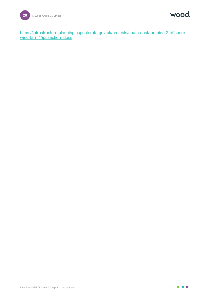wood.

[https://infrastructure.planninginspectorate.gov.uk/projects/south-east/rampion-2-offshore](https://infrastructure.planninginspectorate.gov.uk/projects/south-east/rampion-2-offshore-wind-farm/?ipcsection=docs)[wind-farm/?ipcsection=docs.](https://infrastructure.planninginspectorate.gov.uk/projects/south-east/rampion-2-offshore-wind-farm/?ipcsection=docs)